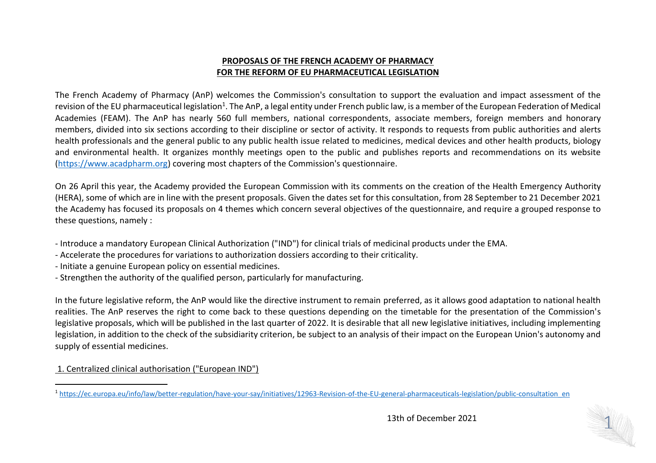# **PROPOSALS OF THE FRENCH ACADEMY OF PHARMACY FOR THE REFORM OF EU PHARMACEUTICAL LEGISLATION**

The French Academy of Pharmacy (AnP) welcomes the Commission's consultation to support the evaluation and impact assessment of the revision of the EU pharmaceutical legislation<sup>1</sup>. The AnP, a legal entity under French public law, is a member of the European Federation of Medical Academies (FEAM). The AnP has nearly 560 full members, national correspondents, associate members, foreign members and honorary members, divided into six sections according to their discipline or sector of activity. It responds to requests from public authorities and alerts health professionals and the general public to any public health issue related to medicines, medical devices and other health products, biology and environmental health. It organizes monthly meetings open to the public and publishes reports and recommendations on its website [\(https://www.acadpharm.org\)](https://www.acadpharm.org/) covering most chapters of the Commission's questionnaire.

On 26 April this year, the Academy provided the European Commission with its comments on the creation of the Health Emergency Authority (HERA), some of which are in line with the present proposals. Given the dates set for this consultation, from 28 September to 21 December 2021 the Academy has focused its proposals on 4 themes which concern several objectives of the questionnaire, and require a grouped response to these questions, namely :

- Introduce a mandatory European Clinical Authorization ("IND") for clinical trials of medicinal products under the EMA.
- Accelerate the procedures for variations to authorization dossiers according to their criticality.
- Initiate a genuine European policy on essential medicines.
- Strengthen the authority of the qualified person, particularly for manufacturing.

In the future legislative reform, the AnP would like the directive instrument to remain preferred, as it allows good adaptation to national health realities. The AnP reserves the right to come back to these questions depending on the timetable for the presentation of the Commission's legislative proposals, which will be published in the last quarter of 2022. It is desirable that all new legislative initiatives, including implementing legislation, in addition to the check of the subsidiarity criterion, be subject to an analysis of their impact on the European Union's autonomy and supply of essential medicines.

1. Centralized clinical authorisation ("European IND")

 $\overline{a}$ <sup>1</sup> [https://ec.europa.eu/info/law/better-regulation/have-your-say/initiatives/12963-Revision-of-the-EU-general-pharmaceuticals-legislation/public-consultation\\_en](https://ec.europa.eu/info/law/better-regulation/have-your-say/initiatives/12963-Revision-of-the-EU-general-pharmaceuticals-legislation/public-consultation_en)

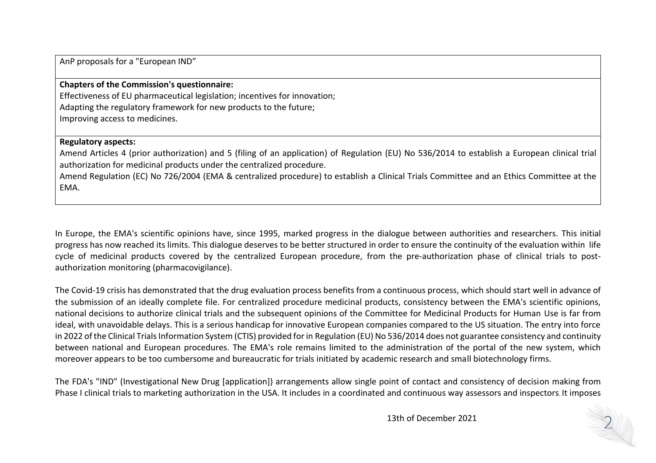AnP proposals for a "European IND"

### **Chapters of the Commission's questionnaire:**

Effectiveness of EU pharmaceutical legislation; incentives for innovation; Adapting the regulatory framework for new products to the future; Improving access to medicines.

## **Regulatory aspects:**

Amend Articles 4 (prior authorization) and 5 (filing of an application) of Regulation (EU) No 536/2014 to establish a European clinical trial authorization for medicinal products under the centralized procedure.

Amend Regulation (EC) No 726/2004 (EMA & centralized procedure) to establish a Clinical Trials Committee and an Ethics Committee at the EMA.

In Europe, the EMA's scientific opinions have, since 1995, marked progress in the dialogue between authorities and researchers. This initial progress has now reached its limits. This dialogue deserves to be better structured in order to ensure the continuity of the evaluation within life cycle of medicinal products covered by the centralized European procedure, from the pre-authorization phase of clinical trials to postauthorization monitoring (pharmacovigilance).

The Covid-19 crisis has demonstrated that the drug evaluation process benefits from a continuous process, which should start well in advance of the submission of an ideally complete file. For centralized procedure medicinal products, consistency between the EMA's scientific opinions, national decisions to authorize clinical trials and the subsequent opinions of the Committee for Medicinal Products for Human Use is far from ideal, with unavoidable delays. This is a serious handicap for innovative European companies compared to the US situation. The entry into force in 2022 of the Clinical Trials Information System (CTIS) provided for in Regulation (EU) No 536/2014 does not guarantee consistency and continuity between national and European procedures. The EMA's role remains limited to the administration of the portal of the new system, which moreover appears to be too cumbersome and bureaucratic for trials initiated by academic research and small biotechnology firms.

The FDA's "IND" (Investigational New Drug [application]) arrangements allow single point of contact and consistency of decision making from Phase I clinical trials to marketing authorization in the USA. It includes in a coordinated and continuous way assessors and inspectors. It imposes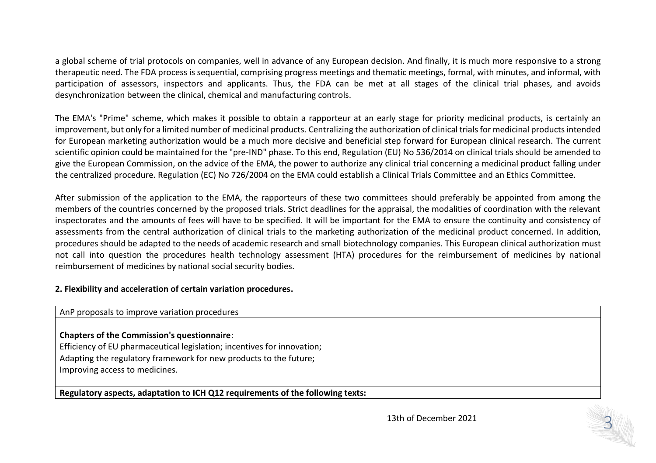a global scheme of trial protocols on companies, well in advance of any European decision. And finally, it is much more responsive to a strong therapeutic need. The FDA process is sequential, comprising progress meetings and thematic meetings, formal, with minutes, and informal, with participation of assessors, inspectors and applicants. Thus, the FDA can be met at all stages of the clinical trial phases, and avoids desynchronization between the clinical, chemical and manufacturing controls.

The EMA's "Prime" scheme, which makes it possible to obtain a rapporteur at an early stage for priority medicinal products, is certainly an improvement, but only for a limited number of medicinal products. Centralizing the authorization of clinical trials for medicinal products intended for European marketing authorization would be a much more decisive and beneficial step forward for European clinical research. The current scientific opinion could be maintained for the "pre-IND" phase. To this end, Regulation (EU) No 536/2014 on clinical trials should be amended to give the European Commission, on the advice of the EMA, the power to authorize any clinical trial concerning a medicinal product falling under the centralized procedure. Regulation (EC) No 726/2004 on the EMA could establish a Clinical Trials Committee and an Ethics Committee.

After submission of the application to the EMA, the rapporteurs of these two committees should preferably be appointed from among the members of the countries concerned by the proposed trials. Strict deadlines for the appraisal, the modalities of coordination with the relevant inspectorates and the amounts of fees will have to be specified. It will be important for the EMA to ensure the continuity and consistency of assessments from the central authorization of clinical trials to the marketing authorization of the medicinal product concerned. In addition, procedures should be adapted to the needs of academic research and small biotechnology companies. This European clinical authorization must not call into question the procedures health technology assessment (HTA) procedures for the reimbursement of medicines by national reimbursement of medicines by national social security bodies.

#### **2. Flexibility and acceleration of certain variation procedures.**

#### AnP proposals to improve variation procedures

# **Chapters of the Commission's questionnaire**:

Efficiency of EU pharmaceutical legislation; incentives for innovation; Adapting the regulatory framework for new products to the future; Improving access to medicines.

**Regulatory aspects, adaptation to ICH Q12 requirements of the following texts:**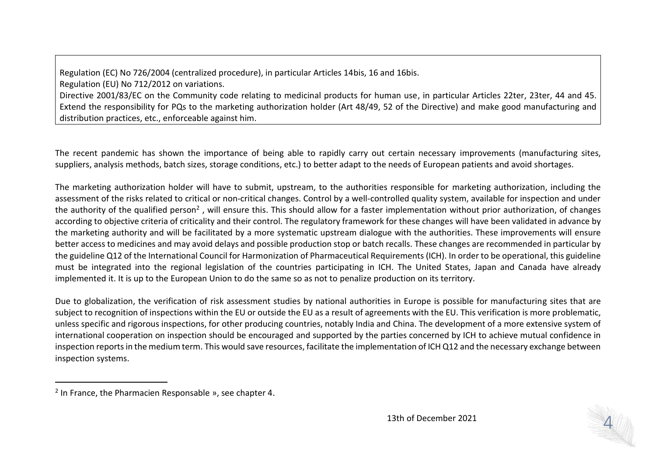Regulation (EC) No 726/2004 (centralized procedure), in particular Articles 14bis, 16 and 16bis.

Regulation (EU) No 712/2012 on variations.

Directive 2001/83/EC on the Community code relating to medicinal products for human use, in particular Articles 22ter, 23ter, 44 and 45. Extend the responsibility for PQs to the marketing authorization holder (Art 48/49, 52 of the Directive) and make good manufacturing and distribution practices, etc., enforceable against him.

The recent pandemic has shown the importance of being able to rapidly carry out certain necessary improvements (manufacturing sites, suppliers, analysis methods, batch sizes, storage conditions, etc.) to better adapt to the needs of European patients and avoid shortages.

The marketing authorization holder will have to submit, upstream, to the authorities responsible for marketing authorization, including the assessment of the risks related to critical or non-critical changes. Control by a well-controlled quality system, available for inspection and under the authority of the qualified person<sup>2</sup>, will ensure this. This should allow for a faster implementation without prior authorization, of changes according to objective criteria of criticality and their control. The regulatory framework for these changes will have been validated in advance by the marketing authority and will be facilitated by a more systematic upstream dialogue with the authorities. These improvements will ensure better access to medicines and may avoid delays and possible production stop or batch recalls. These changes are recommended in particular by the guideline Q12 of the International Council for Harmonization of Pharmaceutical Requirements (ICH). In order to be operational, this guideline must be integrated into the regional legislation of the countries participating in ICH. The United States, Japan and Canada have already implemented it. It is up to the European Union to do the same so as not to penalize production on its territory.

Due to globalization, the verification of risk assessment studies by national authorities in Europe is possible for manufacturing sites that are subject to recognition of inspections within the EU or outside the EU as a result of agreements with the EU. This verification is more problematic, unless specific and rigorous inspections, for other producing countries, notably India and China. The development of a more extensive system of international cooperation on inspection should be encouraged and supported by the parties concerned by ICH to achieve mutual confidence in inspection reports in the medium term. This would save resources, facilitate the implementation of ICH Q12 and the necessary exchange between inspection systems.

 $\overline{a}$ 



<sup>2</sup> In France, the Pharmacien Responsable », see chapter 4.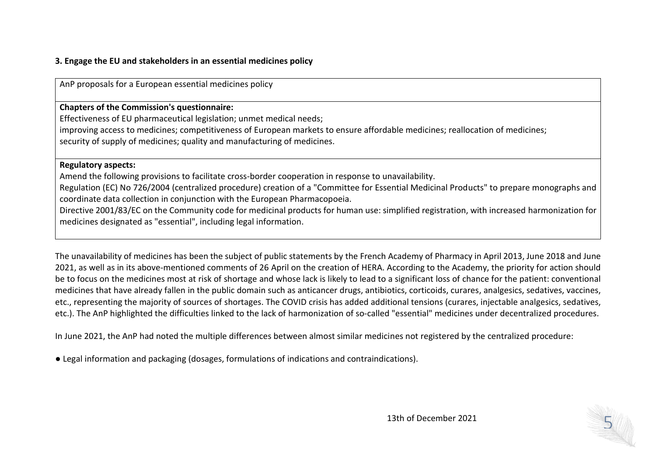## **3. Engage the EU and stakeholders in an essential medicines policy**

AnP proposals for a European essential medicines policy

**Chapters of the Commission's questionnaire:**

Effectiveness of EU pharmaceutical legislation; unmet medical needs; improving access to medicines; competitiveness of European markets to ensure affordable medicines; reallocation of medicines; security of supply of medicines; quality and manufacturing of medicines.

#### **Regulatory aspects:**

Amend the following provisions to facilitate cross-border cooperation in response to unavailability.

Regulation (EC) No 726/2004 (centralized procedure) creation of a "Committee for Essential Medicinal Products" to prepare monographs and coordinate data collection in conjunction with the European Pharmacopoeia.

Directive 2001/83/EC on the Community code for medicinal products for human use: simplified registration, with increased harmonization for medicines designated as "essential", including legal information.

The unavailability of medicines has been the subject of public statements by the French Academy of Pharmacy in April 2013, June 2018 and June 2021, as well as in its above-mentioned comments of 26 April on the creation of HERA. According to the Academy, the priority for action should be to focus on the medicines most at risk of shortage and whose lack is likely to lead to a significant loss of chance for the patient: conventional medicines that have already fallen in the public domain such as anticancer drugs, antibiotics, corticoids, curares, analgesics, sedatives, vaccines, etc., representing the majority of sources of shortages. The COVID crisis has added additional tensions (curares, injectable analgesics, sedatives, etc.). The AnP highlighted the difficulties linked to the lack of harmonization of so-called "essential" medicines under decentralized procedures.

In June 2021, the AnP had noted the multiple differences between almost similar medicines not registered by the centralized procedure:

● Legal information and packaging (dosages, formulations of indications and contraindications).

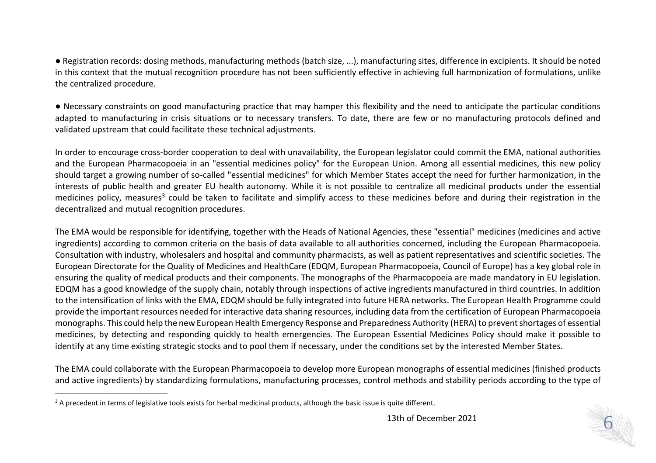● Registration records: dosing methods, manufacturing methods (batch size, ...), manufacturing sites, difference in excipients. It should be noted in this context that the mutual recognition procedure has not been sufficiently effective in achieving full harmonization of formulations, unlike the centralized procedure.

● Necessary constraints on good manufacturing practice that may hamper this flexibility and the need to anticipate the particular conditions adapted to manufacturing in crisis situations or to necessary transfers. To date, there are few or no manufacturing protocols defined and validated upstream that could facilitate these technical adjustments.

In order to encourage cross-border cooperation to deal with unavailability, the European legislator could commit the EMA, national authorities and the European Pharmacopoeia in an "essential medicines policy" for the European Union. Among all essential medicines, this new policy should target a growing number of so-called "essential medicines" for which Member States accept the need for further harmonization, in the interests of public health and greater EU health autonomy. While it is not possible to centralize all medicinal products under the essential medicines policy, measures<sup>3</sup> could be taken to facilitate and simplify access to these medicines before and during their registration in the decentralized and mutual recognition procedures.

The EMA would be responsible for identifying, together with the Heads of National Agencies, these "essential" medicines (medicines and active ingredients) according to common criteria on the basis of data available to all authorities concerned, including the European Pharmacopoeia. Consultation with industry, wholesalers and hospital and community pharmacists, as well as patient representatives and scientific societies. The European Directorate for the Quality of Medicines and HealthCare (EDQM, European Pharmacopoeia, Council of Europe) has a key global role in ensuring the quality of medical products and their components. The monographs of the Pharmacopoeia are made mandatory in EU legislation. EDQM has a good knowledge of the supply chain, notably through inspections of active ingredients manufactured in third countries. In addition to the intensification of links with the EMA, EDQM should be fully integrated into future HERA networks. The European Health Programme could provide the important resources needed for interactive data sharing resources, including data from the certification of European Pharmacopoeia monographs. This could help the new European Health Emergency Response and Preparedness Authority (HERA) to prevent shortages of essential medicines, by detecting and responding quickly to health emergencies. The European Essential Medicines Policy should make it possible to identify at any time existing strategic stocks and to pool them if necessary, under the conditions set by the interested Member States.

The EMA could collaborate with the European Pharmacopoeia to develop more European monographs of essential medicines (finished products and active ingredients) by standardizing formulations, manufacturing processes, control methods and stability periods according to the type of

 $\overline{a}$ 

<sup>&</sup>lt;sup>3</sup> A precedent in terms of legislative tools exists for herbal medicinal products, although the basic issue is quite different.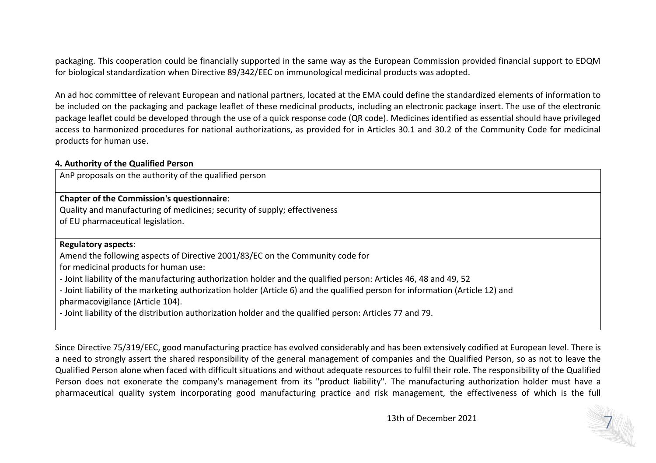packaging. This cooperation could be financially supported in the same way as the European Commission provided financial support to EDQM for biological standardization when Directive 89/342/EEC on immunological medicinal products was adopted.

An ad hoc committee of relevant European and national partners, located at the EMA could define the standardized elements of information to be included on the packaging and package leaflet of these medicinal products, including an electronic package insert. The use of the electronic package leaflet could be developed through the use of a quick response code (QR code). Medicines identified as essential should have privileged access to harmonized procedures for national authorizations, as provided for in Articles 30.1 and 30.2 of the Community Code for medicinal products for human use.

#### **4. Authority of the Qualified Person**

AnP proposals on the authority of the qualified person

# **Chapter of the Commission's questionnaire**:

Quality and manufacturing of medicines; security of supply; effectiveness of EU pharmaceutical legislation.

## **Regulatory aspects**:

Amend the following aspects of Directive 2001/83/EC on the Community code for

for medicinal products for human use:

- Joint liability of the manufacturing authorization holder and the qualified person: Articles 46, 48 and 49, 52

- Joint liability of the marketing authorization holder (Article 6) and the qualified person for information (Article 12) and pharmacovigilance (Article 104).

- Joint liability of the distribution authorization holder and the qualified person: Articles 77 and 79.

Since Directive 75/319/EEC, good manufacturing practice has evolved considerably and has been extensively codified at European level. There is a need to strongly assert the shared responsibility of the general management of companies and the Qualified Person, so as not to leave the Qualified Person alone when faced with difficult situations and without adequate resources to fulfil their role. The responsibility of the Qualified Person does not exonerate the company's management from its "product liability". The manufacturing authorization holder must have a pharmaceutical quality system incorporating good manufacturing practice and risk management, the effectiveness of which is the full